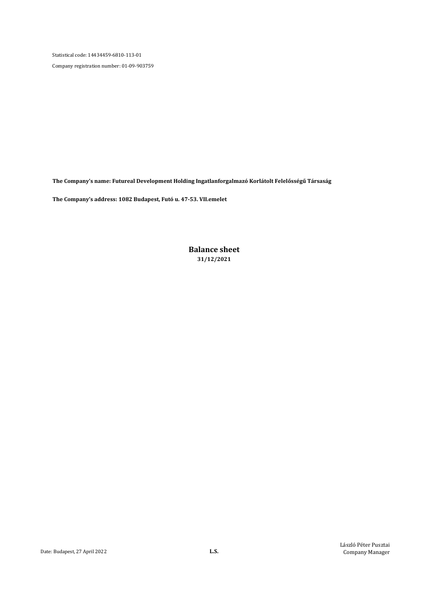Company registration number: 01-09-903759

The Company's name: Futureal Development Holding Ingatlanforgalmazó Korlátolt Felelősségű Társaság

The Company's address: 1082 Budapest, Futó u. 47-53. VII.emelet

Balance sheet 31/12/2021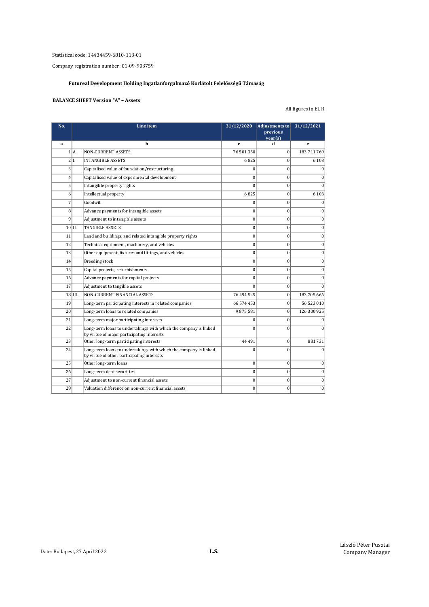Company registration number: 01-09-903759

# Futureal Development Holding Ingatlanforgalmazó Korlátolt Felelősségű Társaság

### BALANCE SHEET Version "A" – Assets

# All figures in EUR

| No.            |                     | Line item                                                                                                      | 31/12/2020   | Adjustments to<br>previous<br>$\text{year(s)}$ | 31/12/2021   |
|----------------|---------------------|----------------------------------------------------------------------------------------------------------------|--------------|------------------------------------------------|--------------|
| a              |                     | h                                                                                                              | $\mathbf{c}$ | d                                              | e            |
|                | 1 A                 | <b>NON-CURRENT ASSETS</b>                                                                                      | 76 501 350   | $\Omega$                                       | 183 711 769  |
|                | 2 I.                | <b>INTANGIBLE ASSETS</b>                                                                                       | 6825         | $\theta$                                       | 6 1 0 3      |
| 3              |                     | Capitalised value of foundation/restructuring                                                                  | $\Omega$     | $\mathbf{0}$                                   | $\Omega$     |
| $\overline{4}$ |                     | Capitalised value of experimental development                                                                  | $\theta$     | $\theta$                                       | 0            |
| 5              |                     | Intangible property rights                                                                                     | $\theta$     | $\mathbf{0}$                                   | U            |
| 6              |                     | Intellectual property                                                                                          | 6825         | $\mathbf{0}$                                   | 6 1 0 3      |
| 7              |                     | Goodwill                                                                                                       | $\theta$     | $\theta$                                       | $\Omega$     |
| 8              |                     | Advance payments for intangible assets                                                                         | $\Omega$     | $\theta$                                       | $\Omega$     |
| $\mathbf{q}$   |                     | Adjustment to intangible assets                                                                                | $\bf{0}$     | $\theta$                                       | $\bf{0}$     |
| $10$  II.      |                     | <b>TANGIBLE ASSETS</b>                                                                                         | $\Omega$     | $\theta$                                       | $\theta$     |
| 11             |                     | Land and buildings, and related intangible property rights                                                     | $\mathbf{0}$ | $\theta$                                       | $\mathbf{0}$ |
| 12             |                     | Technical equipment, machinery, and vehicles                                                                   | $\mathbf{0}$ | $\mathbf{0}$                                   | $\bf{0}$     |
| 13             |                     | Other equipment, fixtures and fittings, and vehicles                                                           | $\mathbf{0}$ | $\theta$                                       | $\mathbf{0}$ |
| 14             |                     | <b>Breeding stock</b>                                                                                          | $\bf{0}$     | $\mathbf{0}$                                   | $\bf{0}$     |
| 15             |                     | Capital projects, refurbishments                                                                               | $\theta$     | $\theta$                                       | $\theta$     |
| 16             |                     | Advance payments for capital projects                                                                          | $\Omega$     | $\theta$                                       | $\Omega$     |
| 17             |                     | Adjustment to tangible assets                                                                                  | $\Omega$     | $\theta$                                       |              |
|                | $18$ $\text{III}$ . | NON-CURRENT FINANCIAL ASSETS                                                                                   | 76 494 525   | $\Omega$                                       | 183 705 666  |
| 19             |                     | Long-term participating interests in related companies                                                         | 66 574 453   | $\mathbf{0}$                                   | 56 523 010   |
| 20             |                     | Long-term loans to related companies                                                                           | 9875581      | $\mathbf{0}$                                   | 126 300 925  |
| 21             |                     | Long-term major participating interests                                                                        | $\theta$     | $\mathbf{0}$                                   |              |
| 22             |                     | Long-term loans to undertakings with which the company is linked<br>by virtue of major participating interests | $\Omega$     | $\Omega$                                       |              |
| 23             |                     | Other long-term participating interests                                                                        | 44 4 91      | $\mathbf{0}$                                   | 881731       |
| 24             |                     | Long-term loans to undertakings with which the company is linked<br>by virtue of other participating interests | $\theta$     | $\theta$                                       | $\Omega$     |
| 25             |                     | Other long-term loans                                                                                          | $\mathbf{0}$ | $\mathbf{0}$                                   | $\bf{0}$     |
| 26             |                     | Long-term debt securities                                                                                      | $\mathbf{0}$ | $\theta$                                       | $\mathbf{0}$ |
| 27             |                     | Adjustment to non-current financial assets                                                                     | $\mathbf{0}$ | $\theta$                                       | $\mathbf{0}$ |
| 28             |                     | Valuation difference on non-current financial assets                                                           | $\theta$     | $\theta$                                       | $\mathbf{0}$ |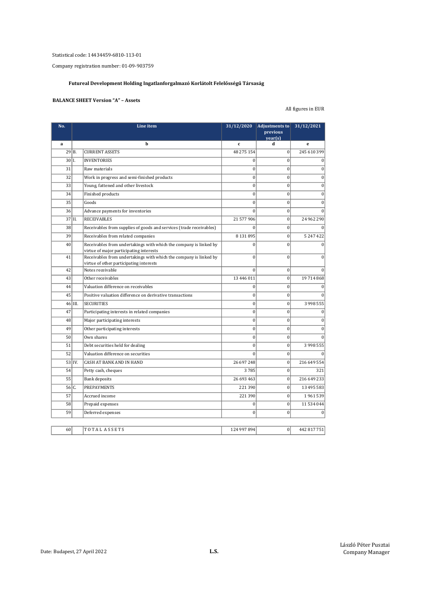Company registration number: 01-09-903759

# Futureal Development Holding Ingatlanforgalmazó Korlátolt Felelősségű Társaság

### BALANCE SHEET Version "A" – Assets

# All figures in EUR

| a<br>29 B.<br>$30 1$ .<br>31<br>32<br>33<br>34<br>35<br>36<br>$37$  II.<br>38<br>39<br>40<br>41<br>42<br>43 | b<br><b>CURRENT ASSETS</b><br><b>INVENTORIES</b><br>Raw materials<br>Work in progress and semi-finished products<br>Young, fattened and other livestock<br>Finished products<br>Goods | $\mathbf{c}$<br>48 275 154<br>$\theta$<br>$\mathbf{0}$<br>$\Omega$<br>$\mathbf{0}$<br>$\bf{0}$ | d<br>$\mathbf{0}$<br>$\Omega$<br>$\theta$<br>$\theta$ | e<br>245 610 399<br>$\theta$ |
|-------------------------------------------------------------------------------------------------------------|---------------------------------------------------------------------------------------------------------------------------------------------------------------------------------------|------------------------------------------------------------------------------------------------|-------------------------------------------------------|------------------------------|
|                                                                                                             |                                                                                                                                                                                       |                                                                                                |                                                       |                              |
|                                                                                                             |                                                                                                                                                                                       |                                                                                                |                                                       |                              |
|                                                                                                             |                                                                                                                                                                                       |                                                                                                |                                                       |                              |
|                                                                                                             |                                                                                                                                                                                       |                                                                                                |                                                       | $\mathbf{0}$                 |
|                                                                                                             |                                                                                                                                                                                       |                                                                                                |                                                       | $\mathbf{0}$                 |
|                                                                                                             |                                                                                                                                                                                       |                                                                                                | $\theta$                                              | $\overline{0}$               |
|                                                                                                             |                                                                                                                                                                                       |                                                                                                | $\mathbf{0}$                                          | $\bf{0}$                     |
|                                                                                                             |                                                                                                                                                                                       | $\mathbf{0}$                                                                                   | $\theta$                                              | $\mathbf{0}$                 |
|                                                                                                             | Advance payments for inventories                                                                                                                                                      | $\Omega$                                                                                       | $\theta$                                              | $\Omega$                     |
|                                                                                                             | <b>RECEIVABLES</b>                                                                                                                                                                    | 21 577 906                                                                                     | $\theta$                                              | 24 962 290                   |
|                                                                                                             | Receivables from supplies of goods and services (trade receivables)                                                                                                                   | $\theta$                                                                                       | $\theta$                                              | $\Omega$                     |
|                                                                                                             | Receivables from related companies                                                                                                                                                    | 8 1 3 1 8 9 5                                                                                  | $\mathbf{0}$                                          | 5 247 422                    |
|                                                                                                             | Receivables from undertakings with which the company is linked by<br>virtue of major participating interests                                                                          | $\theta$                                                                                       | $\theta$                                              | $\theta$                     |
|                                                                                                             | Receivables from undertakings with which the company is linked by<br>virtue of other participating interests                                                                          | $\mathbf{0}$                                                                                   | $\mathbf{0}$                                          | $\mathbf{0}$                 |
|                                                                                                             | Notes receivable                                                                                                                                                                      | $\Omega$                                                                                       | $\mathbf{0}$                                          | $\theta$                     |
|                                                                                                             | Other receivables                                                                                                                                                                     | 13 446 011                                                                                     | $\theta$                                              | 19 714 868                   |
| 44                                                                                                          | Valuation difference on receivables                                                                                                                                                   | $\mathbf{0}$                                                                                   | $\mathbf{0}$                                          | $\Omega$                     |
| 45                                                                                                          | Positive valuation difference on derivative transactions                                                                                                                              | 0                                                                                              | $\mathbf{0}$                                          | $\Omega$                     |
| $46$  III.                                                                                                  | <b>SECURITIES</b>                                                                                                                                                                     | $\mathbf{0}$                                                                                   | $\mathbf{0}$                                          | 3 998 555                    |
| 47                                                                                                          | Participating interests in related companies                                                                                                                                          | $\mathbf{0}$                                                                                   | $\mathbf{0}$                                          | $\mathbf{0}$                 |
| 48                                                                                                          | Major participating interests                                                                                                                                                         | $\Omega$                                                                                       | $\theta$                                              | $\mathbf{0}$                 |
| 49                                                                                                          | Other participating interests                                                                                                                                                         | $\mathbf{0}$                                                                                   | $\mathbf{0}$                                          | $\mathbf{0}$                 |
| 50                                                                                                          | Own shares                                                                                                                                                                            | $\mathbf{0}$                                                                                   | $\mathbf{0}$                                          | $\Omega$                     |
| 51                                                                                                          | Debt securities held for dealing                                                                                                                                                      | $\mathbf{0}$                                                                                   | $\mathbf{0}$                                          | 3 998 555                    |
| 52                                                                                                          | Valuation difference on securities                                                                                                                                                    | $\theta$                                                                                       | $\mathbf{0}$                                          | $\Omega$                     |
| 53 IV.                                                                                                      | <b>CASH AT BANK AND IN HAND</b>                                                                                                                                                       | 26 697 248                                                                                     | $\mathbf{0}$                                          | 216 649 554                  |
| 54                                                                                                          | Petty cash, cheques                                                                                                                                                                   | 3785                                                                                           | $\theta$                                              | 321                          |
| 55                                                                                                          | Bank deposits                                                                                                                                                                         | 26 693 463                                                                                     | $\Omega$                                              | 216 649 233                  |
| $56 C$ .                                                                                                    | <b>PREPAYMENTS</b>                                                                                                                                                                    | 221 390                                                                                        | $\mathbf{0}$                                          | 13 495 583                   |
| 57                                                                                                          | Accrued income                                                                                                                                                                        | 221 390                                                                                        | $\mathbf{0}$                                          | 1961539                      |
| 58                                                                                                          | Prepaid expenses                                                                                                                                                                      | $\mathbf{0}$                                                                                   | $\mathbf{0}$                                          | 11 534 044                   |
| 59                                                                                                          | Deferred expenses                                                                                                                                                                     | $\mathbf{0}$                                                                                   | $\theta$                                              | $\Omega$                     |
| 60<br>TOTAL ASSETS                                                                                          |                                                                                                                                                                                       |                                                                                                |                                                       |                              |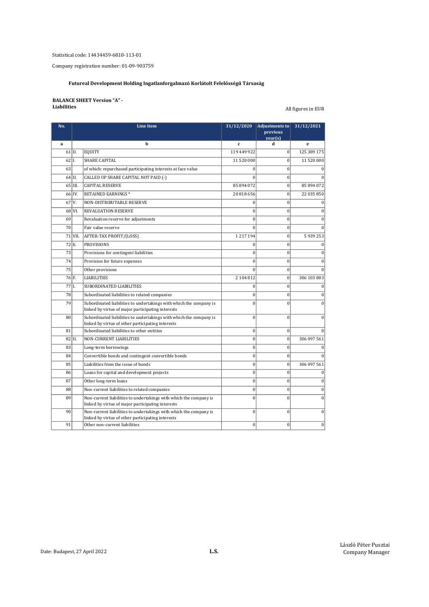Company registration number: 01-09-903759

# Futureal Development Holding Ingatlanforgalmazó Korlátolt Felelősségű Társaság

### BALANCE SHEET Version "A" - **Liabilities** All figures in EUR

| No.     |                     | Line item                                                                                                               | 31/12/2020     | Adjustments to<br>previous<br>year(s) | 31/12/2021   |
|---------|---------------------|-------------------------------------------------------------------------------------------------------------------------|----------------|---------------------------------------|--------------|
| a       |                     | h                                                                                                                       | $\mathbf{c}$   | d                                     | e            |
|         | $61$ D.             | <b>EQUITY</b>                                                                                                           | 119 449 922    | $\mathbf{0}$                          | 125 389 175  |
| $62$ I. |                     | <b>SHARE CAPITAL</b>                                                                                                    | 11 520 000     | $\mathbf{0}$                          | 11 520 000   |
| 63      |                     | of which: repurchased participating interests at face value                                                             | $\theta$       | $\theta$                              |              |
|         | 64 II.              | CALLED UP SHARE CAPITAL NOT PAID (-)                                                                                    | $\Omega$       | $\theta$                              |              |
|         | 65 III.             | <b>CAPITAL RESERVE</b>                                                                                                  | 85 894 072     | $\bf{0}$                              | 85 894 072   |
|         | 66 IV.              | RETAINED EARNINGS*                                                                                                      | 20 818 656     | $\mathbf{0}$                          | 22 035 850   |
|         | $67$ V.             | NON-DISTRIBUTABLE RESERVE                                                                                               | $\bf{0}$       | $\mathbf{0}$                          | $\theta$     |
|         | 68 VI.              | REVALUATION RESERVE                                                                                                     | $\bf{0}$       | $\mathbf{0}$                          | $\theta$     |
| 69      |                     | Revaluation reserve for adjustments                                                                                     | $\Omega$       | $\theta$                              | $\theta$     |
| 70      |                     | Fair value reserve                                                                                                      | $\theta$       | $\theta$                              | $\Omega$     |
|         | $71$ VII.           | AFTER-TAX PROFIT/(LOSS)                                                                                                 | 1217194        | $\mathbf{0}$                          | 5939253      |
|         | $72$ <sub>E</sub> . | <b>PROVISIONS</b>                                                                                                       | $\bf{0}$       | $\bf{0}$                              | $\mathbf{0}$ |
| 73      |                     | Provisions for contingent liabilities                                                                                   | $\mathbf{0}$   | $\mathbf{0}$                          | $\mathbf{0}$ |
| 74      |                     | Provision for future expenses                                                                                           | $\mathbf{0}$   | $\mathbf{0}$                          | $\mathbf{0}$ |
| 75      |                     | Other provisions                                                                                                        | $\mathbf{0}$   | $\mathbf{0}$                          | $\theta$     |
|         | 76 F.               | <b>LIABILITIES</b>                                                                                                      | 2104812        | $\Omega$                              | 306 103 803  |
| 77 I.   |                     | SUBORDINATED LIABILITIES                                                                                                | $\overline{0}$ | $\theta$                              | $\mathbf{0}$ |
| 78      |                     | Subordinated liabilities to related companies                                                                           | $\Omega$       | $\theta$                              | $\bf{0}$     |
| 79      |                     | Subordinated liabilities to undertakings with which the company is<br>linked by virtue of major participating interests | $\theta$       | $\theta$                              | $\theta$     |
| 80      |                     | Subordinated liabilities to undertakings with which the company is<br>linked by virtue of other participating interests | $\mathbf{0}$   | $\theta$                              | $\mathbf{0}$ |
| 81      |                     | Subordinated liabilities to other entities                                                                              | $\mathbf{0}$   | $\Omega$                              | $\Omega$     |
|         | $82$  II.           | <b>NON-CURRENT LIABILITIES</b>                                                                                          | $\mathbf{0}$   | $\overline{0}$                        | 306 097 561  |
| 83      |                     | Long-term borrowings                                                                                                    | $\mathbf{0}$   | $\mathbf{0}$                          | $\theta$     |
| 84      |                     | Convertible bonds and contingent convertible bonds                                                                      | $\mathbf{0}$   | $\mathbf{0}$                          | $\Omega$     |
| 85      |                     | Liabilities from the issue of bonds                                                                                     | $\bf{0}$       | $\theta$                              | 306 097 561  |
| 86      |                     | Loans for capital and development projects                                                                              | $\mathbf{0}$   | $\theta$                              | $\theta$     |
| 87      |                     | Other long-term loans                                                                                                   | $\bf{0}$       | $\theta$                              | $\theta$     |
| 88      |                     | Non-current liabilities to related companies                                                                            | $\bf{0}$       | $\mathbf{0}$                          | $\mathbf{0}$ |
| 89      |                     | Non-current liabilities to undertakings with which the company is<br>linked by virtue of major participating interests  | $\theta$       | $\theta$                              | $\theta$     |
| 90      |                     | Non-current liabilities to undertakings with which the company is<br>linked by virtue of other participating interests  | $\overline{0}$ | $\theta$                              | $\mathbf{0}$ |
| 91      |                     | Other non-current liabilities                                                                                           | $\Omega$       | $\Omega$                              | $\mathbf{0}$ |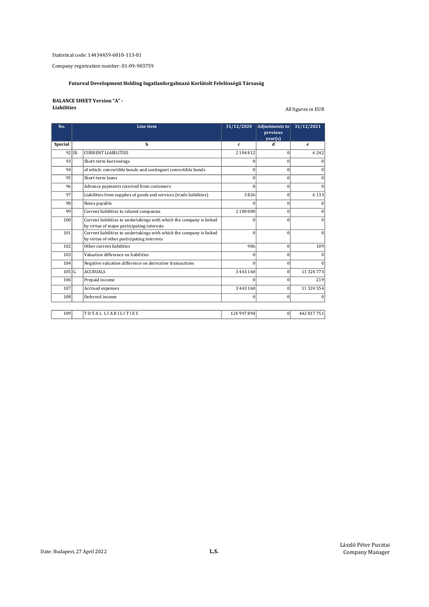Company registration number: 01-09-903759

# Futureal Development Holding Ingatlanforgalmazó Korlátolt Felelősségű Társaság

# BALANCE SHEET Version "A" -<br>Liabilities

All figures in EUR

| No.            |           | Line item                                                                                                          | 31/12/2020    | <b>Adjustments to</b> | 31/12/2021  |
|----------------|-----------|--------------------------------------------------------------------------------------------------------------------|---------------|-----------------------|-------------|
|                |           |                                                                                                                    |               | previous<br>year(s)   |             |
| <b>Special</b> |           | h                                                                                                                  | c.            | d                     | е           |
|                | $92$ III. | <b>CURRENT LIABILITIES</b>                                                                                         | 2 104 812     | $\Omega$              | 6242        |
| 93             |           | Short-term borrowings                                                                                              | 0             | $\overline{0}$        |             |
| 94             |           | of which: convertible bonds and contingent convertible bonds                                                       | 0             | $\overline{0}$        |             |
| 95             |           | Short-term loans                                                                                                   | $\theta$      | $\Omega$              |             |
| 96             |           | Advance payments received from customers                                                                           | $\Omega$      | $\Omega$              |             |
| 97             |           | Liabilities from supplies of goods and services (trade liabilities)                                                | 3826          | $\overline{0}$        | 6 1 3 3     |
| 98             |           | Notes payable                                                                                                      | 0             | $\overline{0}$        |             |
| 99             |           | Current liabilities to related companies                                                                           | 2 100 000     | $\overline{0}$        |             |
| 100            |           | Current liabilities to undertakings with which the company is linked                                               | $\Omega$      | $\Omega$              | U           |
|                |           | by virtue of major participating interests                                                                         |               |                       |             |
| 101            |           | Current liabilities to undertakings with which the company is linked<br>by virtue of other participating interests | $\theta$      | $\theta$              | $\theta$    |
| 102            |           | Other current liabilities                                                                                          | 986           | $\Omega$              | 109         |
| 103            |           | Valuation difference on liabilities                                                                                | $\Omega$      | $\overline{0}$        |             |
| 104            |           | Negative valuation difference on derivative transactions                                                           | $\Omega$      | $\Omega$              |             |
| 105 G.         |           | <b>ACCRUALS</b>                                                                                                    | 3 4 4 3 1 6 0 | $\Omega$              | 11 324 773  |
| 106            |           | Prepaid income                                                                                                     | U             | $\overline{0}$        | 219         |
| 107            |           | Accrued expenses                                                                                                   | 3 4 4 3 1 6 0 | $\Omega$              | 11 324 554  |
| 108            |           | Deferred income                                                                                                    | $\theta$      | $\overline{0}$        | 0           |
|                |           |                                                                                                                    |               |                       |             |
| 109            |           | TOTAL LIABILITIES                                                                                                  | 124 997 894   | $\overline{0}$        | 442 817 751 |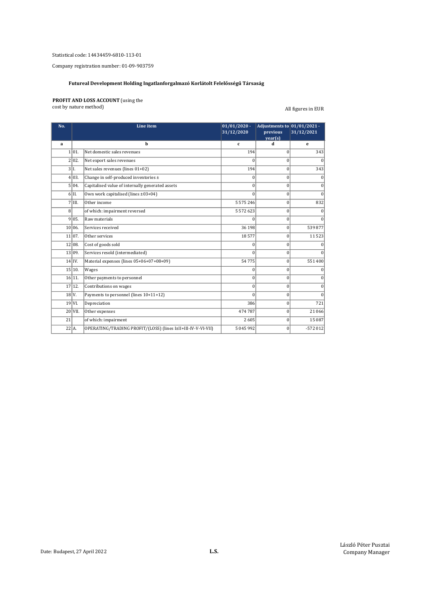Company registration number: 01-09-903759

### Futureal Development Holding Ingatlanforgalmazó Korlátolt Felelősségű Társaság

### PROFIT AND LOSS ACCOUNT (using the

cost by nature method) and the cost of the cost of the cost of the cost of the cost of the cost of the cost of

| No.          |                         | Line item                                                    | $01/01/2020$ -<br>31/12/2020 | Adjustments to 01/01/2021 -<br>previous<br>year(s) | 31/12/2021 |
|--------------|-------------------------|--------------------------------------------------------------|------------------------------|----------------------------------------------------|------------|
| a            |                         | h                                                            | c                            | d                                                  | e          |
|              | 1 01.                   | Net domestic sales revenues                                  | 194                          | $\vert 0 \vert$                                    | 343        |
|              | 2 02.                   | Net export sales revenues                                    | $\Omega$                     | $\bf{0}$                                           | $\Omega$   |
|              | 3 L                     | Net sales revenues (lines 01+02)                             | 194                          | $\bf{0}$                                           | 343        |
|              | 4 03.                   | Change in self-produced inventories ±                        | O                            | $\theta$                                           | $\Omega$   |
|              | 5 04.                   | Capitalised value of internally generated assets             | $\Omega$                     | $\theta$                                           | $\Omega$   |
|              | 6H.                     | Own work capitalised (lines ±03+04)                          | $\Omega$                     | $\theta$                                           | $\Omega$   |
|              | $7$ $\overline{\rm{H}}$ | Other income                                                 | 5 5 7 5 2 4 6                | $\theta$                                           | 832        |
| $\mathbf{g}$ |                         | of which: impairment reversed                                | 5 5 7 2 6 2 3                | $\bf{0}$                                           | O          |
|              | 9 05.                   | Raw materials                                                | 0                            | $\bf{0}$                                           | $\Omega$   |
|              | 10 06.                  | Services received                                            | 36 198                       | $\bf{0}$                                           | 539877     |
|              | 11 07.                  | Other services                                               | 18577                        | $\bf{0}$                                           | 11523      |
|              | 12 08.                  | Cost of goods sold                                           | 0                            | $\bf{0}$                                           |            |
|              | 13 09.                  | Services resold (intermediated)                              | 0                            | $\vert 0 \vert$                                    | $\Omega$   |
|              | $14$ IV.                | Material expenses (lines 05+06+07+08+09)                     | 54775                        | $\vert$ 0                                          | 551400     |
|              | 15 10.                  | Wages                                                        | 0                            | $\vert 0 \vert$                                    | 0          |
|              | 16 11.                  | Other payments to personnel                                  | $\Omega$                     | $\Omega$                                           | $\Omega$   |
|              | 17 12.                  | Contributions on wages                                       | $\Omega$                     | $\overline{0}$                                     | $\Omega$   |
| 18V.         |                         | Payments to personnel (lines 10+11+12)                       | $\Omega$                     | $\bf{0}$                                           | $\Omega$   |
|              | 19 V <sub>L</sub>       | Depreciation                                                 | 386                          | $\vert 0 \vert$                                    | 721        |
|              | $20$ VII.               | Other expenses                                               | 474 787                      | $\vert 0 \vert$                                    | 21 066     |
| 21           |                         | of which: impairment                                         | 2605                         | $\vert 0 \vert$                                    | 15 087     |
| 22 A.        |                         | OPERATING/TRADING PROFIT/(LOSS) (lines I±II+III-IV-V-VI-VII) | 5 045 992                    | $\theta$                                           | $-572012$  |